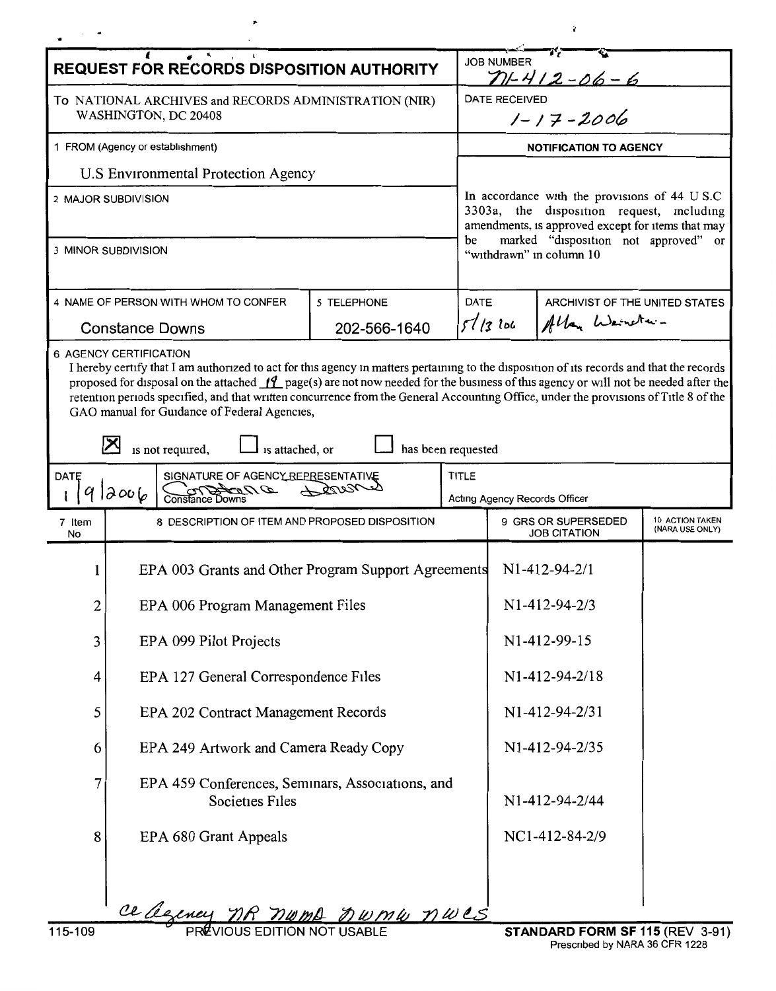| <b>REQUEST FOR RECORDS DISPOSITION AUTHORITY</b>                                                                                                                                                                                                                                                                                                                                                                                                                                                           |                                                                                                   |  |                                                                                                                                                                                                                            | <b>JOB NUMBER</b><br>$71 - 412 - 06 - 6$                                         |                               |  |  |
|------------------------------------------------------------------------------------------------------------------------------------------------------------------------------------------------------------------------------------------------------------------------------------------------------------------------------------------------------------------------------------------------------------------------------------------------------------------------------------------------------------|---------------------------------------------------------------------------------------------------|--|----------------------------------------------------------------------------------------------------------------------------------------------------------------------------------------------------------------------------|----------------------------------------------------------------------------------|-------------------------------|--|--|
| To NATIONAL ARCHIVES and RECORDS ADMINISTRATION (NIR)<br>WASHINGTON, DC 20408                                                                                                                                                                                                                                                                                                                                                                                                                              |                                                                                                   |  |                                                                                                                                                                                                                            | <b>DATE RECEIVED</b><br>$1 - 17 - 2006$                                          |                               |  |  |
| 1 FROM (Agency or establishment)                                                                                                                                                                                                                                                                                                                                                                                                                                                                           |                                                                                                   |  | <b>NOTIFICATION TO AGENCY</b>                                                                                                                                                                                              |                                                                                  |                               |  |  |
| <b>U.S Environmental Protection Agency</b>                                                                                                                                                                                                                                                                                                                                                                                                                                                                 |                                                                                                   |  | In accordance with the provisions of 44 U S.C.<br>3303a, the disposition request, including<br>amendments, is approved except for items that may<br>marked "disposition not approved" or<br>be<br>"withdrawn" in column 10 |                                                                                  |                               |  |  |
| 2 MAJOR SUBDIVISION                                                                                                                                                                                                                                                                                                                                                                                                                                                                                        |                                                                                                   |  |                                                                                                                                                                                                                            |                                                                                  |                               |  |  |
| 3 MINOR SUBDIVISION                                                                                                                                                                                                                                                                                                                                                                                                                                                                                        |                                                                                                   |  |                                                                                                                                                                                                                            |                                                                                  |                               |  |  |
| 4 NAME OF PERSON WITH WHOM TO CONFER<br>5 TELEPHONE<br><b>Constance Downs</b><br>202-566-1640                                                                                                                                                                                                                                                                                                                                                                                                              |                                                                                                   |  |                                                                                                                                                                                                                            | DATE<br>ARCHIVIST OF THE UNITED STATES<br>Allan Weineter-<br>5/13106             |                               |  |  |
|                                                                                                                                                                                                                                                                                                                                                                                                                                                                                                            |                                                                                                   |  |                                                                                                                                                                                                                            |                                                                                  |                               |  |  |
| 6 AGENCY CERTIFICATION<br>I hereby certify that I am authorized to act for this agency in matters pertaining to the disposition of its records and that the records<br>proposed for disposal on the attached $\int_1^2$ page(s) are not now needed for the business of this agency or will not be needed after the<br>retention periods specified, and that written concurrence from the General Accounting Office, under the provisions of Title 8 of the<br>GAO manual for Guidance of Federal Agencies, |                                                                                                   |  |                                                                                                                                                                                                                            |                                                                                  |                               |  |  |
|                                                                                                                                                                                                                                                                                                                                                                                                                                                                                                            | is not required,<br>is attached, or                                                               |  | has been requested                                                                                                                                                                                                         |                                                                                  |                               |  |  |
| DATE                                                                                                                                                                                                                                                                                                                                                                                                                                                                                                       | SIGNATURE OF AGENCY REPRESENTATIVE<br>$\mathscr{D}$ $\mathscr{D}$ and $\mathscr{D}$ $\mathscr{D}$ |  | <b>TITLE</b>                                                                                                                                                                                                               |                                                                                  |                               |  |  |
|                                                                                                                                                                                                                                                                                                                                                                                                                                                                                                            | 2006                                                                                              |  |                                                                                                                                                                                                                            |                                                                                  | Acting Agency Records Officer |  |  |
| 7 Item<br>No                                                                                                                                                                                                                                                                                                                                                                                                                                                                                               | 8 DESCRIPTION OF ITEM AND PROPOSED DISPOSITION                                                    |  |                                                                                                                                                                                                                            | 10 ACTION TAKEN<br>9 GRS OR SUPERSEDED<br>(NARA USE ONLY)<br><b>JOB CITATION</b> |                               |  |  |
|                                                                                                                                                                                                                                                                                                                                                                                                                                                                                                            | EPA 003 Grants and Other Program Support Agreements                                               |  |                                                                                                                                                                                                                            | $N1-412-94-2/1$                                                                  |                               |  |  |
| $\boldsymbol{2}$                                                                                                                                                                                                                                                                                                                                                                                                                                                                                           | EPA 006 Program Management Files                                                                  |  |                                                                                                                                                                                                                            | N1-412-94-2/3                                                                    |                               |  |  |
| 3                                                                                                                                                                                                                                                                                                                                                                                                                                                                                                          | EPA 099 Pilot Projects                                                                            |  |                                                                                                                                                                                                                            | N1-412-99-15                                                                     |                               |  |  |
| 4                                                                                                                                                                                                                                                                                                                                                                                                                                                                                                          | EPA 127 General Correspondence Files                                                              |  |                                                                                                                                                                                                                            | N1-412-94-2/18                                                                   |                               |  |  |
| 5                                                                                                                                                                                                                                                                                                                                                                                                                                                                                                          | EPA 202 Contract Management Records                                                               |  |                                                                                                                                                                                                                            | N1-412-94-2/31                                                                   |                               |  |  |
| 6                                                                                                                                                                                                                                                                                                                                                                                                                                                                                                          | EPA 249 Artwork and Camera Ready Copy                                                             |  |                                                                                                                                                                                                                            | N1-412-94-2/35                                                                   |                               |  |  |
| 7                                                                                                                                                                                                                                                                                                                                                                                                                                                                                                          | EPA 459 Conferences, Seminars, Associations, and<br>Societies Files                               |  |                                                                                                                                                                                                                            | N1-412-94-2/44                                                                   |                               |  |  |
| 8                                                                                                                                                                                                                                                                                                                                                                                                                                                                                                          | EPA 680 Grant Appeals                                                                             |  |                                                                                                                                                                                                                            | NC1-412-84-2/9                                                                   |                               |  |  |
|                                                                                                                                                                                                                                                                                                                                                                                                                                                                                                            |                                                                                                   |  |                                                                                                                                                                                                                            |                                                                                  |                               |  |  |
|                                                                                                                                                                                                                                                                                                                                                                                                                                                                                                            | ce agency nR numb numb nwes                                                                       |  |                                                                                                                                                                                                                            |                                                                                  |                               |  |  |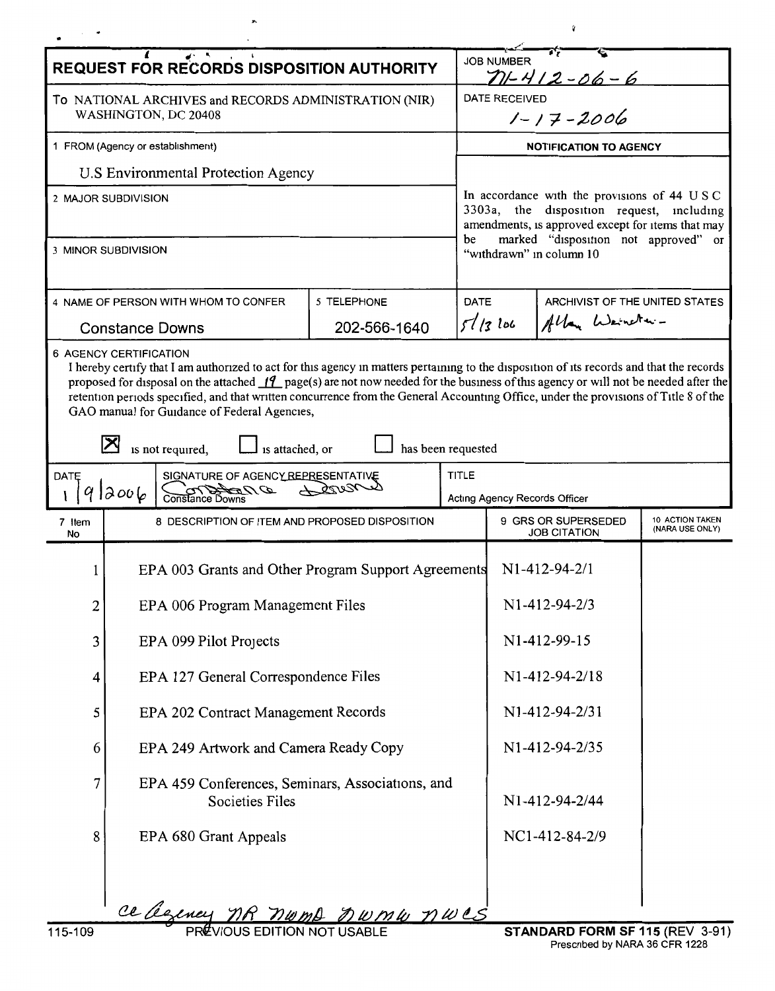| $\overline{a^2}$ $\overline{b^2}$ $\overline{c^2}$ $\overline{d^2}$<br><b>REQUEST FOR RECORDS DISPOSITION AUTHORITY</b> |                                                                                                                                                                                                                                                                                                                                                                                                                                                                                                             |                                                     |                               | <b>JOB NUMBER</b><br>$71 - 412 - 06 - 6$                                                                                                                                                                          |                 |  |  |
|-------------------------------------------------------------------------------------------------------------------------|-------------------------------------------------------------------------------------------------------------------------------------------------------------------------------------------------------------------------------------------------------------------------------------------------------------------------------------------------------------------------------------------------------------------------------------------------------------------------------------------------------------|-----------------------------------------------------|-------------------------------|-------------------------------------------------------------------------------------------------------------------------------------------------------------------------------------------------------------------|-----------------|--|--|
| To NATIONAL ARCHIVES and RECORDS ADMINISTRATION (NIR)<br>WASHINGTON, DC 20408                                           |                                                                                                                                                                                                                                                                                                                                                                                                                                                                                                             |                                                     |                               | <b>DATE RECEIVED</b><br>$1 - 17 - 2006$                                                                                                                                                                           |                 |  |  |
| 1 FROM (Agency or establishment)                                                                                        |                                                                                                                                                                                                                                                                                                                                                                                                                                                                                                             |                                                     | <b>NOTIFICATION TO AGENCY</b> |                                                                                                                                                                                                                   |                 |  |  |
|                                                                                                                         | U.S Environmental Protection Agency                                                                                                                                                                                                                                                                                                                                                                                                                                                                         |                                                     |                               |                                                                                                                                                                                                                   |                 |  |  |
| 2 MAJOR SUBDIVISION<br>3 MINOR SUBDIVISION                                                                              |                                                                                                                                                                                                                                                                                                                                                                                                                                                                                                             |                                                     | be                            | In accordance with the provisions of 44 USC<br>3303a, the disposition request, including<br>amendments, is approved except for items that may<br>marked "disposition not approved" or<br>"withdrawn" in column 10 |                 |  |  |
|                                                                                                                         |                                                                                                                                                                                                                                                                                                                                                                                                                                                                                                             |                                                     |                               |                                                                                                                                                                                                                   |                 |  |  |
| 5 TELEPHONE<br>4 NAME OF PERSON WITH WHOM TO CONFER                                                                     |                                                                                                                                                                                                                                                                                                                                                                                                                                                                                                             |                                                     |                               | DATE<br>ARCHIVIST OF THE UNITED STATES                                                                                                                                                                            |                 |  |  |
|                                                                                                                         | <b>Constance Downs</b>                                                                                                                                                                                                                                                                                                                                                                                                                                                                                      | 202-566-1640                                        |                               | 5/13106                                                                                                                                                                                                           | Allan Weineter- |  |  |
|                                                                                                                         | <b>6 AGENCY CERTIFICATION</b><br>I hereby certify that I am authorized to act for this agency in matters pertaining to the disposition of its records and that the records<br>proposed for disposal on the attached $11$ page(s) are not now needed for the business of this agency or will not be needed after the<br>retention periods specified, and that written concurrence from the General Accounting Office, under the provisions of Title 8 of the<br>GAO manual for Guidance of Federal Agencies, |                                                     |                               |                                                                                                                                                                                                                   |                 |  |  |
|                                                                                                                         | is attached, or<br>is not required,                                                                                                                                                                                                                                                                                                                                                                                                                                                                         |                                                     | has been requested            |                                                                                                                                                                                                                   |                 |  |  |
| DATE                                                                                                                    | SIGNATURE OF AGENCY REPRESENTATIVE<br>$D$ $\sigma$ $\sigma$<br>2006                                                                                                                                                                                                                                                                                                                                                                                                                                         |                                                     | <b>TITLE</b>                  | Acting Agency Records Officer                                                                                                                                                                                     |                 |  |  |
| 7 Item<br>No                                                                                                            | 8 DESCRIPTION OF ITEM AND PROPOSED DISPOSITION                                                                                                                                                                                                                                                                                                                                                                                                                                                              |                                                     |                               | 10 ACTION TAKEN<br>9 GRS OR SUPERSEDED<br>(NARA USE ONLY)<br><b>JOB CITATION</b>                                                                                                                                  |                 |  |  |
|                                                                                                                         |                                                                                                                                                                                                                                                                                                                                                                                                                                                                                                             | EPA 003 Grants and Other Program Support Agreements |                               |                                                                                                                                                                                                                   | $N1-412-94-2/1$ |  |  |
| 2                                                                                                                       | EPA 006 Program Management Files                                                                                                                                                                                                                                                                                                                                                                                                                                                                            |                                                     |                               | N1-412-94-2/3                                                                                                                                                                                                     |                 |  |  |
| 3                                                                                                                       | EPA 099 Pilot Projects                                                                                                                                                                                                                                                                                                                                                                                                                                                                                      |                                                     |                               | N1-412-99-15                                                                                                                                                                                                      |                 |  |  |
| 4                                                                                                                       | EPA 127 General Correspondence Files                                                                                                                                                                                                                                                                                                                                                                                                                                                                        |                                                     |                               | N1-412-94-2/18                                                                                                                                                                                                    |                 |  |  |
| 5                                                                                                                       | EPA 202 Contract Management Records                                                                                                                                                                                                                                                                                                                                                                                                                                                                         |                                                     |                               | N1-412-94-2/31                                                                                                                                                                                                    |                 |  |  |
| 6                                                                                                                       | EPA 249 Artwork and Camera Ready Copy                                                                                                                                                                                                                                                                                                                                                                                                                                                                       |                                                     |                               | N1-412-94-2/35                                                                                                                                                                                                    |                 |  |  |
| 7                                                                                                                       | EPA 459 Conferences, Seminars, Associations, and<br><b>Societies Files</b>                                                                                                                                                                                                                                                                                                                                                                                                                                  |                                                     |                               |                                                                                                                                                                                                                   | N1-412-94-2/44  |  |  |
| 8                                                                                                                       | EPA 680 Grant Appeals                                                                                                                                                                                                                                                                                                                                                                                                                                                                                       |                                                     |                               |                                                                                                                                                                                                                   | NC1-412-84-2/9  |  |  |
|                                                                                                                         | ce agency nR nwmb nwmw nwes                                                                                                                                                                                                                                                                                                                                                                                                                                                                                 |                                                     |                               |                                                                                                                                                                                                                   |                 |  |  |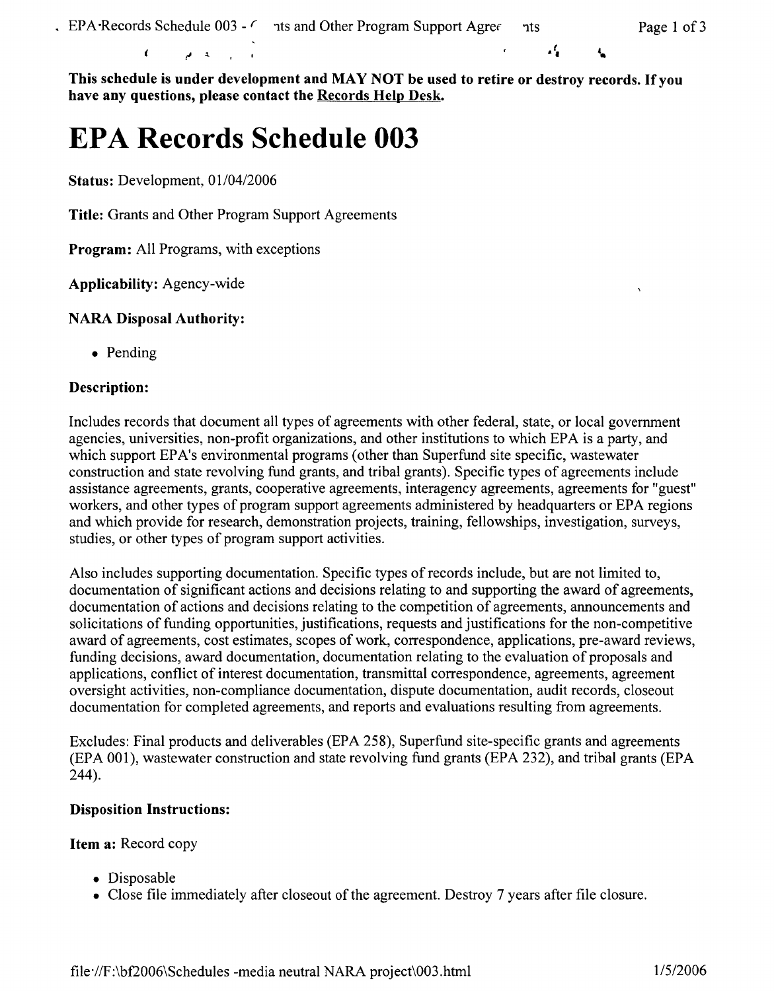بار

Ł

**This schedule is under development and MAY NOT be used to retire or destroy records. If you have any questions, please contact the Records Help Desk.** 

# **EPA Records Schedule 003**

 $\mathbf{A}$   $\mathbf{A}$ 

**Status:** Development, 01/04/2006

 $\epsilon$ 

**Title:** Grants and Other Program Support Agreements

**Program:** All Programs, with exceptions

**Applicability:** Agency-wide

## **NARA Disposal Authority:**

• Pending

## **Description:**

Includes records that document all types of agreements with other federal, state, or local government agencies, universities, non-profit organizations, and other institutions to which EPA is a party, and which support EPA's environmental programs (other than Superfund site specific, wastewater construction and state revolving fund grants, and tribal grants). Specific types of agreements include assistance agreements, grants, cooperative agreements, interagency agreements, agreements for "guest" workers, and other types of program support agreements administered by headquarters or EPA regions and which provide for research, demonstration projects, training, fellowships, investigation, surveys, studies, or other types of program support activities.

Also includes supporting documentation. Specific types of records include, but are not limited to, documentation of significant actions and decisions relating to and supporting the award of agreements, documentation of actions and decisions relating to the competition of agreements, announcements and solicitations of funding opportunities, justifications, requests and justifications for the non-competitive award of agreements, cost estimates, scopes of work, correspondence, applications, pre-award reviews, funding decisions, award documentation, documentation relating to the evaluation of proposals and applications, conflict of interest documentation, transmittal correspondence, agreements, agreement oversight activities, non-compliance documentation, dispute documentation, audit records, closeout documentation for completed agreements, and reports and evaluations resulting from agreements.

Excludes: Final products and deliverables (EPA 258), Superfund site-specific grants and agreements (EPA 001 ), wastewater construction and state revolving fund grants (EPA 232), and tribal grants (EPA 244).

# **Disposition Instructions:**

**Item a:** Record copy

- Disposable
- Close file immediately after closeout of the agreement. Destroy 7 years after file closure.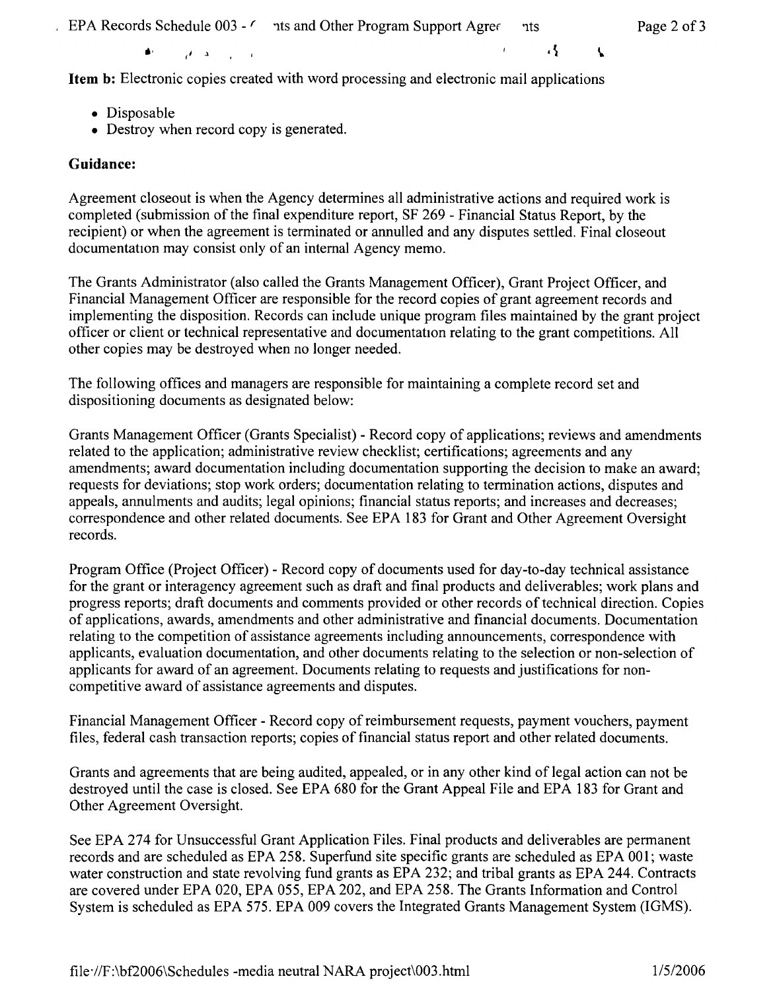EPA Records Schedule 003 -  $\prime$  ts and Other Program Support Agree ints Page 2 of 3

 $\overline{A}$ 

Ł

**Item b:** Electronic copies created with word processing and electronic mail applications

• Disposable

 $\blacktriangle$ 

• Destroy when record copy is generated.

 $\mathcal{A}$ ,  $\mathcal{A}$ ,  $\mathcal{A}$ 

# **Guidance:**

Agreement closeout is when the Agency determines all administrative actions and required work is completed (submission of the final expenditure report, SF 269 - Financial Status Report, by the recipient) or when the agreement is terminated or annulled and any disputes settled. Final closeout documentation may consist only of an internal Agency memo.

The Grants Administrator (also called the Grants Management Officer), Grant Project Officer, and Financial Management Officer are responsible for the record copies of grant agreement records and implementing the disposition. Records can include unique program files maintained by the grant project officer or client or technical representative and documentation relating to the grant competitions. All other copies may be destroyed when no longer needed.

The following offices and managers are responsible for maintaining a complete record set and dispositioning documents as designated below:

Grants Management Officer (Grants Specialist) - Record copy of applications; reviews and amendments related to the application; administrative review checklist; certifications; agreements and any amendments; award documentation including documentation supporting the decision to make an award; requests for deviations; stop work orders; documentation relating to termination actions, disputes and appeals, annulments and audits; legal opinions; financial status reports; and increases and decreases; correspondence and other related documents. See EPA 183 for Grant and Other Agreement Oversight records.

Program Office (Project Officer) - Record copy of documents used for day-to-day technical assistance for the grant or interagency agreement such as draft and final products and deliverables; work plans and progress reports; draft documents and comments provided or other records of technical direction. Copies of applications, awards, amendments and other administrative and financial documents. Documentation relating to the competition of assistance agreements including announcements, correspondence with applicants, evaluation documentation, and other documents relating to the selection or non-selection of applicants for award of an agreement. Documents relating to requests and justifications for noncompetitive award of assistance agreements and disputes.

Financial Management Officer - Record copy of reimbursement requests, payment vouchers, payment files, federal cash transaction reports; copies of financial status report and other related documents.

Grants and agreements that are being audited, appealed, or in any other kind of legal action can not be destroyed until the case is closed. See EPA 680 for the Grant Appeal File and EPA 183 for Grant and Other Agreement Oversight.

See EPA 274 for Unsuccessful Grant Application Files. Final products and deliverables are permanent records and are scheduled as EPA 258. Superfund site specific grants are scheduled as EPA 001; waste water construction and state revolving fund grants as EPA 232; and tribal grants as EPA 244. Contracts are covered under EPA 020, EPA 055, EPA 202, and EPA 258. The Grants Information and Control System is scheduled as EPA 575. EPA 009 covers the Integrated Grants Management System (IGMS).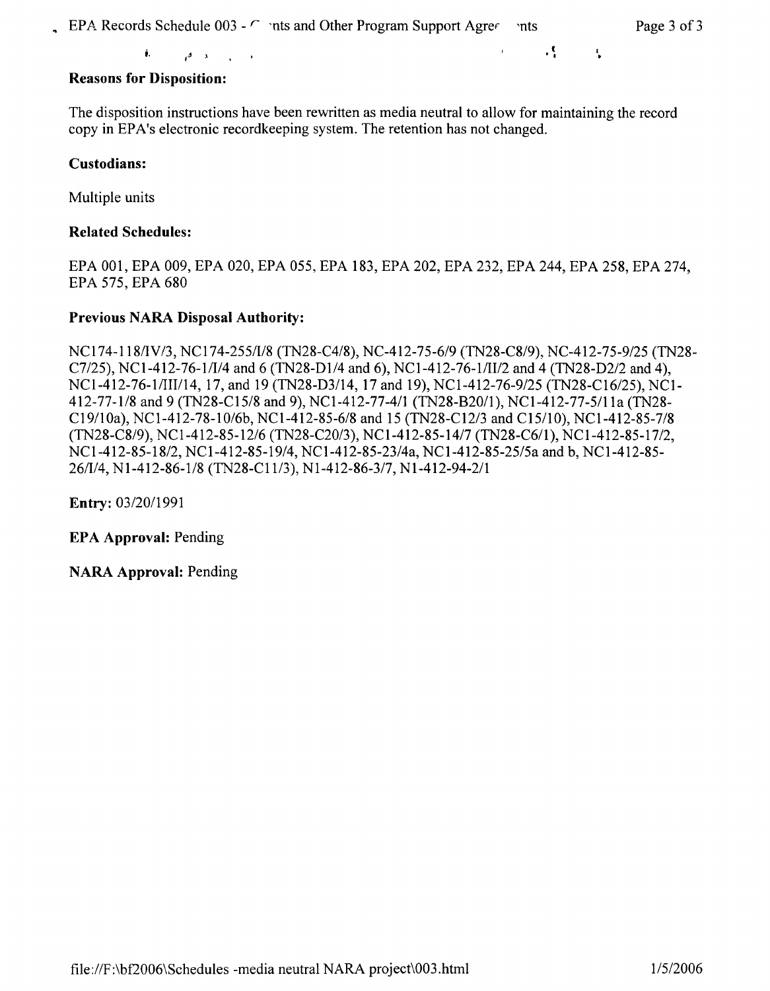l

• **i. ,-J l** • *'* <sup>I</sup>

### **Reasons for Disposition:**

The disposition instructions have been rewritten as media neutral to allow for maintaining the record copy in EP A's electronic recordkeeping system. The retention has not changed.

#### **Custodians:**

Multiple units

#### **Related Schedules:**

EPA 001, EPA 009, EPA 020, EPA 055, EPA 183, EPA 202, EPA 232, EPA 244, EPA 258, EPA 274, EPA 575, EPA 680

#### **Previous NARA Disposal Authority:**

NCI 74-118/IV/3, NCI 74-255/1/8 (TN28-C4/8), NC-412-75-6/9 (TN28-C8/9), NC-412-75-9/25 (TN28- C7/25), NCl-412-76-1/1/4 and 6 (TN28-D1/4 and 6), NCl-412-76-1/11/2 and 4 (TN28-D2/2 and 4), NCl-412-76-1/111/14, 17, and 19 (TN28-D3/14, 17 and 19), NCI-412-76-9/25 (TN28-C16/25), NCl-412-77-1/8 and 9 (TN28-C15/8 and 9), NCI-412-77-4/1 (TN28-B20/1), NCI-412-77-5/1 la (TN28- Cl 9/10a), NC1-412-78-10/6b, NCl-412-85-6/8 and 15 (TN28-C12/3 and C15/10), NCl-412-85-7/8 (TN28-C8/9), NCl-412-85-12/6 (TN28-C20/3), NCl-412-85-14/7 (TN28-C6/1), NCl-412-85-17/2, NCI-412-85-18/2, NCI-412-85-19/4, NC1-412-85-23/4a, NCI-412-85-25/5a and b, NCl-412-85- 26/1/4, Nl-412-86-1/8 (TN28-Cl l/3), Nl-412-86-3/7, Nl-412-94-2/1

**Entry:** 03/20/1991

**EPA Approval:** Pending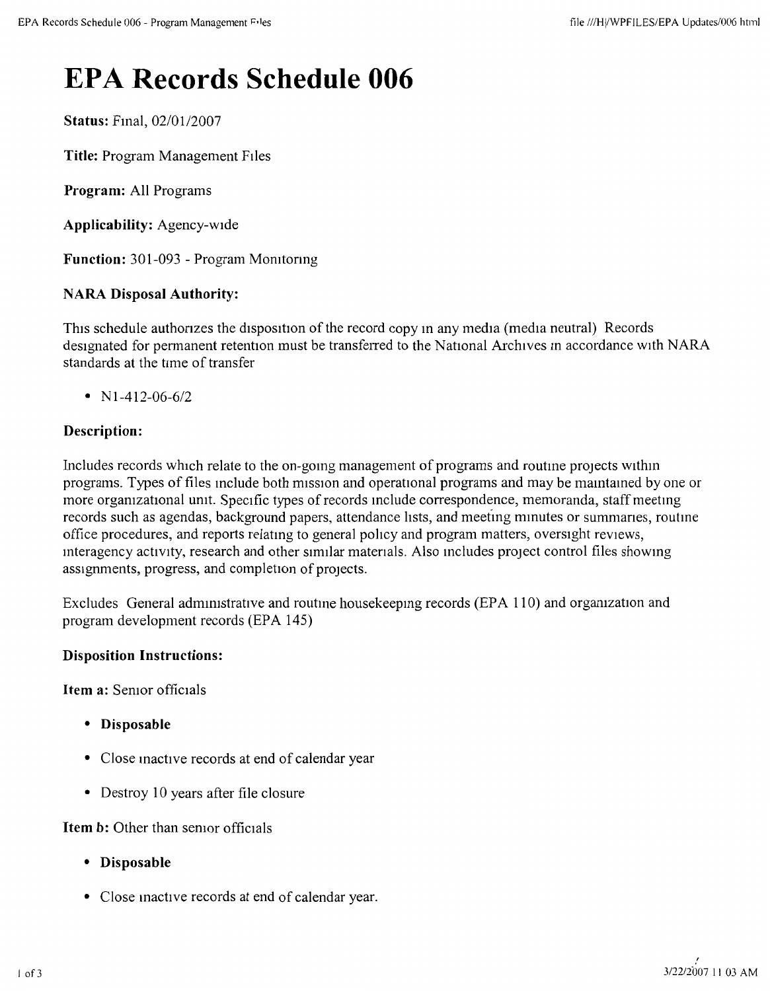# **EPA Records Schedule 006**

**Status: Final, 02/01/2007** 

**Title:** Program Management FIies

**Program:** All Programs

**Applicability:** Agency-wide

**Function:** 301-093 - Program Momtonng

# **NARA Disposal Authority:**

This schedule authonzes the disposition of the record copy many media (media neutral) Records designated for permanent retention must be transferred to the National Archives in accordance with NARA standards at the time of transfer

•  $N1-412-06-6/2$ 

# **Description:**

Includes records which relate to the on-gomg management of programs and routme projects withm programs. Types of files include both mission and operational programs and may be maintained by one or more organizational unit. Specific types of records include correspondence, memoranda, staff meeting records such as agendas, background papers, attendance lists, and meeting minutes or summaries, routine office procedures, and reports relatmg to general pohcy and program matters, oversight reviews, mteragency activity, research and other similar matenals. Also mcludes project control files showmg assignments, progress, and completion of projects.

Excludes General admmistrative and routme housekeepmg records (EPA 110) and orgamzation and program development records (EPA 145)

### **Disposition Instructions:**

**Item a:** Semor officials

- **Disposable**
- Close mactive records at end of calendar year
- Destroy 10 years after file closure

### **Item b:** Other than semor officials

- **Disposable**
- Close mactive records at end of calendar year.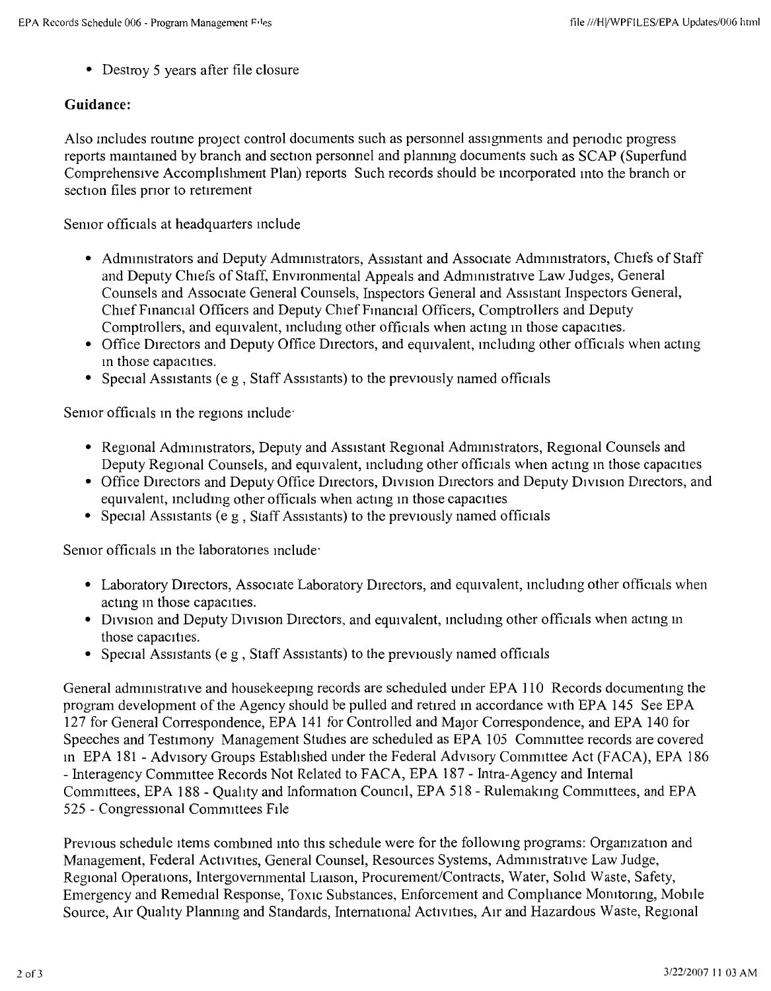• Destroy 5 years after file closure

### **Guidance:**

Also includes routine project control documents such as personnel assignments and periodic progress reports maintained by branch and section personnel and planning documents such as SCAP (Superfund Comprehensive Accomplishment Plan) reports Such records should be mcorporated 111to the branch or section files prior to retirement

Semor officials at headquarters include

- Administrators and Deputy Administrators, Assistant and Associate Administrators, Chiefs of Staff and Deputy Chiefs of Staff, Environmental Appeals and Administrative Law Judges, General Counsels and Associate General Counsels, Inspectors General and Assistant Inspectors General, Chief Financial Officers and Deputy Chief Financial Officers, Comptrollers and Deputy Comptrollers, and equivalent, including other officials when acting in those capacities.
- Office Directors and Deputy Office Directors, and equivalent, including other officials when acting m those capacities.
- Special Assistants (e g, Staff Assistants) to the previously named officials

Semor officials in the regions include<sup>-</sup>

- Regional Administrators, Deputy and Assistant Regional Administrators, Regional Counsels and Deputy Regional Counsels, and equivalent, including other officials when acting in those capacities
- Office Directors and Deputy Office Directors, Division Directors and Deputy Division Directors, and equivalent, including other officials when acting in those capacities
- Special Assistants (e g, Staff Assistants) to the previously named officials

Semor officials in the laboratories include

- Laboratory Directors, Associate Laboratory Directors, and equivalent, including other officials when acting in those capacities.
- Division and Deputy Division Directors, and equivalent, including other officials when acting in those capacities.
- Special Assistants (e g, Staff Assistants) to the previously named officials

General administrative and housekeeping records are scheduled under EPA 110 Records documenting the program development of the Agency should be pulled and retired 111 accordance with EPA 145 See EPA 127 for General Correspondence, EPA 141 for Controlled and MaJor Correspondence, and EPA 140 for Speeches and Testimony Management Studies are scheduled as EPA 105 Comnuttee records are covered 111 EPA 181 - Advisory Groups Established under the Federal Advisory Committee Act (FACA), EPA 186 - Interagency Committee Records Not Related to FACA, EPA 187 - Intra-Agency and Internal Committees, EPA 188 - Quality and Information Council, EPA 518 - Rulemaking Committees, and EPA 525 - Congressional Committees File

Previous schedule items combined into this schedule were for the following programs: Organization and Management, Federal Activities, General Counsel, Resources Systems, Administrative Law Judge, Regional Operations, Intergovernmental Liaison, Procurement/Contracts, Water, Solid Waste, Safety, Emergency and Remedial Response, Toxic Substances, Enforcement and Compliance Momtonng, Mobile Source, Air Quality Planning and Standards, International Activities, Air and Hazardous Waste, Regional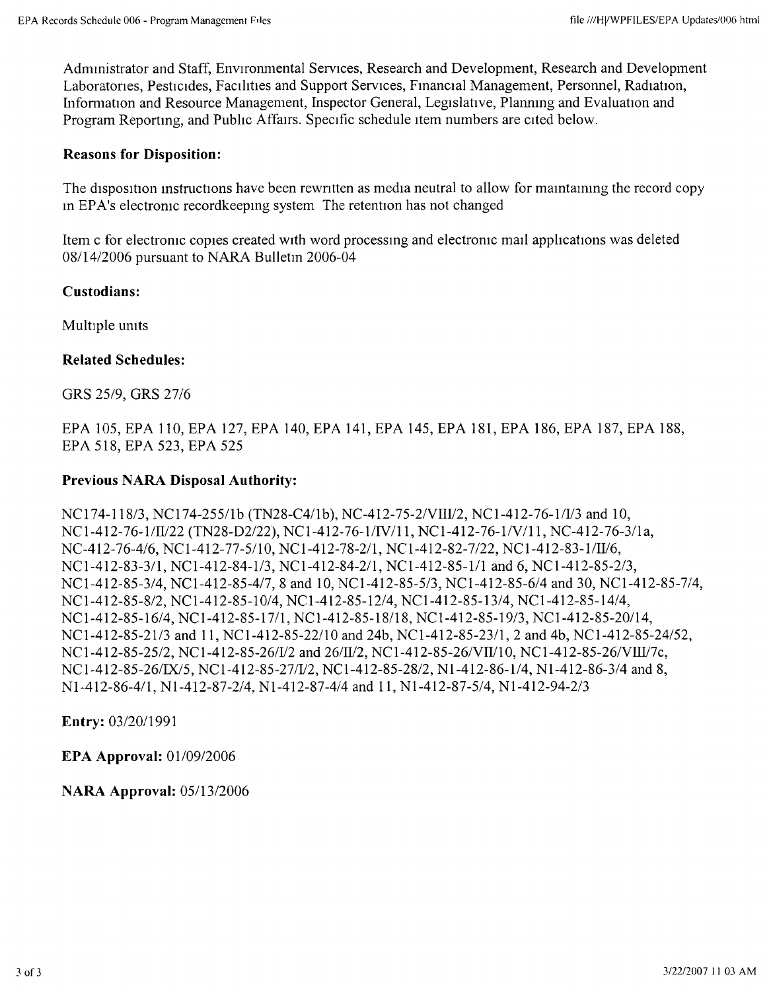Administrator and Staff, Environmental Services, Research and Development, Research and Development Laboratories, Pesticides, Facilities and Support Services, Financial Management, Personnel, Radiation, Information and Resource Management, Inspector General, Legislative, Planning and Evaluation and Program Reportmg, and Pubhc Affa1rs. Specific schedule item numbers are cited below.

#### **Reasons for Disposition:**

The disposition instructions have been rewritten as media neutral to allow for maintaining the record copy in EPA's electronic record keeping system The retention has not changed

Item c for electromc copies created with word processmg and electromc mail applications was deleted 08/14/2006 pursuant to NARA Bulletm 2006-04

#### **Custodians:**

Multiple umts

#### **Related Schedules:**

GRS 25/9, GRS 27/6

EPA 105, EPA 110, EPA 127, EPA 140, EPA 141, EPA 145, EPA 181, EPA 186, EPA 187, EPA 188, EPA 518, EPA 523, EPA 525

#### **Previous NARA Disposal Authority:**

NCl 74-118/3, NCI 74-255/lb (TN28-C4/lb), NC-412-75-2/VIIV2, NC1-412-76-1/V3 and 10, NC 1-412-76-1/W22 (TN28-D2/22), NCl-412-76-1/IV /11, NCl-412-76-1/V /11, NC-412-76-3/la, NC-412-76-4/6, NC1-412-77-5/10, NC1-412-78-2/1, NC1-412-82-7/22, NC1-412-83-1/II/6, NCl-412-83-3/1, NCl-412-84-1/3, NCl-412-84-2/1, NCl-412-85-1/1 and 6, NCl-412-85-2/3, NCl-412-85-3/4, NCl-412-85-4/7, 8 and 10, NCl-412-85-5/3, NCl-412-85-6/4 and 30, NCl-412-85-7/4, NCl-412-85-8/2, NCl-412-85-10/4, NCl-412-85-12/4, NCl-412-85-13/4, NCl-412-85-14/4, NCl-412-85-16/4, NCl-412-85-17/1, NCl-412-85-18/18, NCl-412-85-19/3, NCl-412-85-20/14, NCl-412-85-21/3 and 11, NCl-412-85-22/10 and 24b, NCl-412-85-23/1, 2 and 4b, NCl-412-85-24/52, NC1-412-85-25/2, NC1-412-85-26/V/2 and 26/II/2, NC1-412-85-26/VII/10, NC1-412-85-26/VIII/7c, NCl-412-85-26/IX/5, NC1-412-85-27/V2, NCl-412-85-28/2, Nl-412-86-1/4, Nl-412-86-3/4 and 8, Nl-412-86-4/1, Nl-412-87-2/4, Nl-412-87-4/4 and 11, Nl-412-87-5/4, Nl-412-94-2/3

**Entry:** 03/20/1991

**EPA Approval:** 01/09/2006

**NARA Approval:** 05/13/2006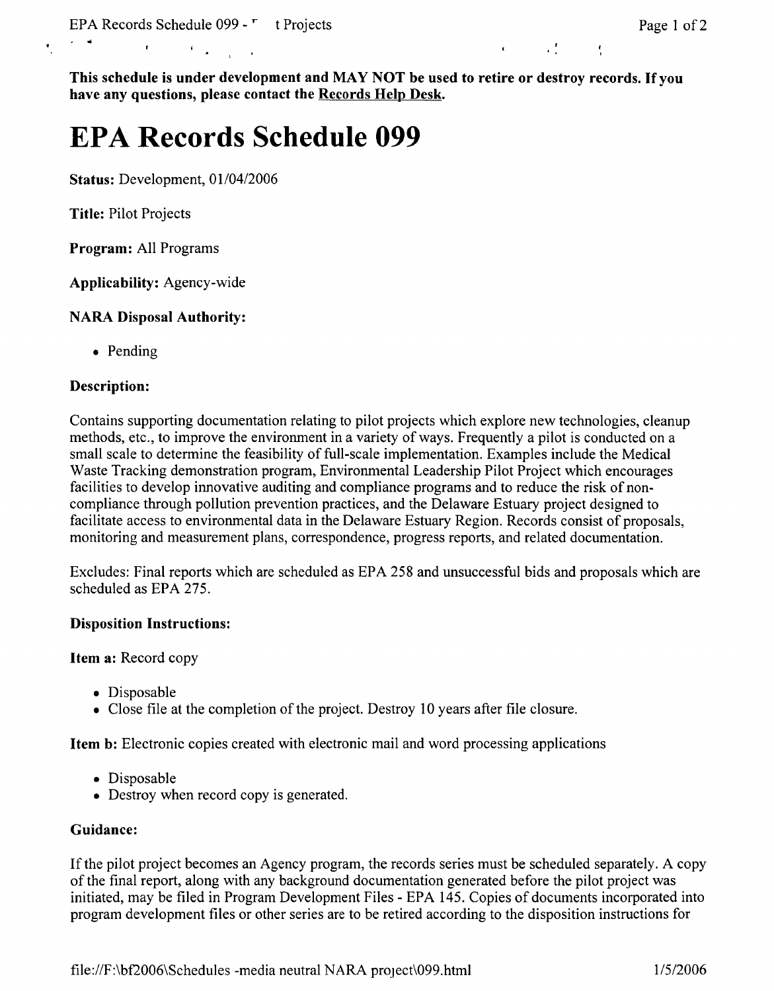**This schedule is under development and MAY NOT be used to retire or destroy records. If you have any questions, please contact the Records Help Desk.** 

# **EPA Records Schedule 099**

**Status:** Development, 01/04/2006

**Title:** Pilot Projects

**Program:** All Programs

**Applicability:** Agency-wide

### **NARA Disposal Authority:**

• Pending

#### **Description:**

Contains supporting documentation relating to pilot projects which explore new technologies, cleanup methods, etc., to improve the environment in a variety of ways. Frequently a pilot is conducted on a small scale to determine the feasibility of full-scale implementation. Examples include the Medical Waste Tracking demonstration program, Environmental Leadership Pilot Project which encourages facilities to develop innovative auditing and compliance programs and to reduce the risk of noncompliance through pollution prevention practices, and the Delaware Estuary project designed to facilitate access to environmental data in the Delaware Estuary Region. Records consist of proposals, monitoring and measurement plans, correspondence, progress reports, and related documentation.

Excludes: Final reports which are scheduled as EPA 258 and unsuccessful bids and proposals which are scheduled as EPA 275.

#### **Disposition Instructions:**

**Item a:** Record copy

- Disposable
- Close file at the completion of the project. Destroy 10 years after file closure.

**Item b:** Electronic copies created with electronic mail and word processing applications

- Disposable
- Destroy when record copy is generated.

#### **Guidance:**

If the pilot project becomes an Agency program, the records series must be scheduled separately. A copy of the final report, along with any background documentation generated before the pilot project was initiated, may be filed in Program Development Files - EPA 145. Copies of documents incorporated into program development files or other series are to be retired according to the disposition instructions for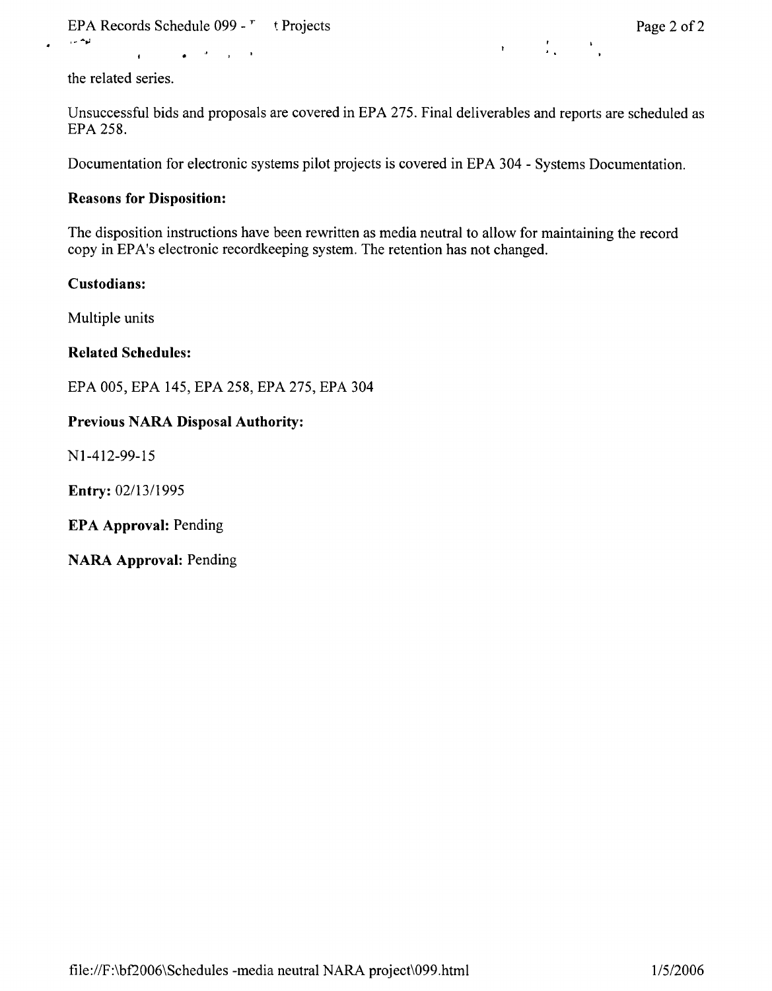EPA Records Schedule 099 -  $\frac{1}{2}$  t Projects Page 2 of 2

 $\mathcal{L}_{\mathbf{r}}$  and  $\mathbf{r}$ 

 $\label{eq:3.1} \mathbf{r} = \left( \begin{array}{cc} \mathbf{r} & \mathbf{r} \\ \mathbf{r} & \mathbf{r} \end{array} \right) \quad \text{and} \quad \mathbf{r} = \mathbf{r}$ 

the related series.

 $\mathbf{r}$ 

Unsuccessful bids and proposals are covered in EPA 275. Final deliverables and reports are scheduled as EPA 258.

Documentation for electronic systems pilot projects is covered in EPA 304 - Systems Documentation.

#### **Reasons for Disposition:**

The disposition instructions have been rewritten as media neutral to allow for maintaining the record copy in EPA's electronic recordkeeping system. The retention has not changed.

### **Custodians:**

Multiple units

#### **Related Schedules:**

EPA 005, EPA 145, EPA 258, EPA 275, EPA 304

### **Previous NARA Disposal Authority:**

Nl-412-99-15

**Entry:** 02/13/1995

**EPA Approval:** Pending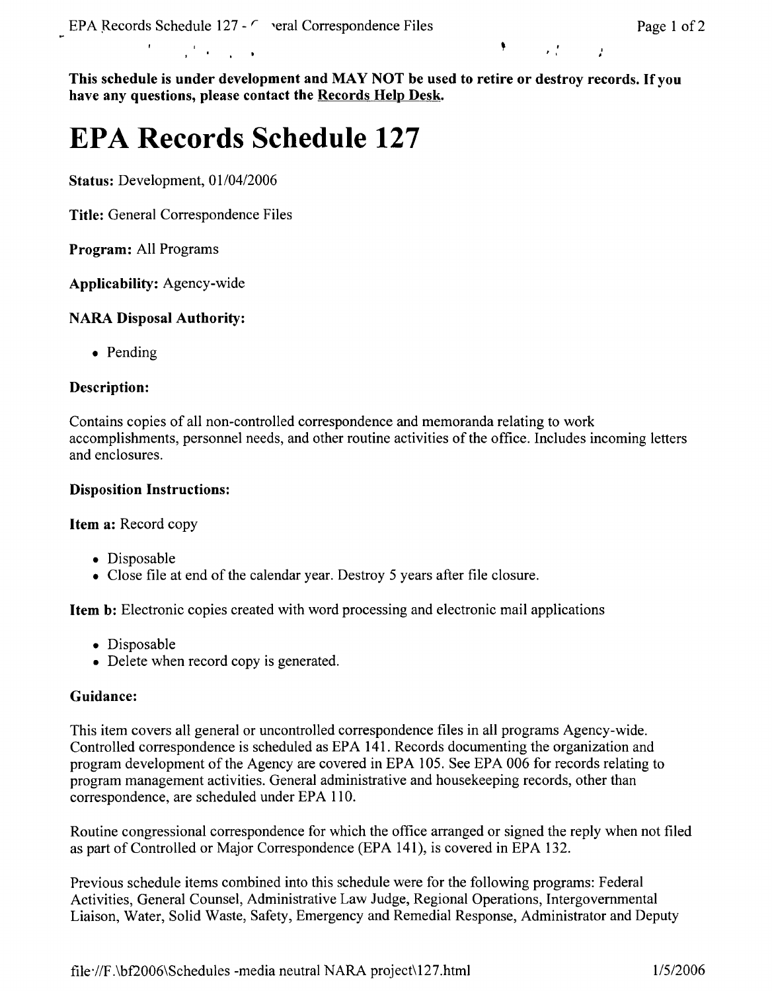$\mathcal{A}=\mathcal{A}$  .

 $\mathbf{r}$  is a set of  $\mathbf{r}$ 

'

**This schedule is under development and MAY NOT be used to retire or destroy records.** If you **have any questions, please contact the Records Help Desk.** 

# **EPA Records Schedule 127**

**Status:** Development, 01/04/2006

**Title:** General Correspondence Files

**Program:** All Programs

**Applicability:** Agency-wide

## **NARA Disposal Authority:**

• Pending

## **Description:**

Contains copies of all non-controlled correspondence and memoranda relating to work accomplishments, personnel needs, and other routine activities of the office. Includes incoming letters and enclosures.

## **Disposition Instructions:**

**Item a:** Record copy

- Disposable
- Close file at end of the calendar year. Destroy 5 years after file closure.

**Item b:** Electronic copies created with word processing and electronic mail applications

- Disposable
- Delete when record copy is generated.

### **Guidance:**

This item covers all general or uncontrolled correspondence files in all programs Agency-wide. Controlled correspondence is scheduled as EPA 141. Records documenting the organization and program development of the Agency are covered in EPA 105. See EPA 006 for records relating to program management activities. General administrative and housekeeping records, other than correspondence, are scheduled under EPA 110.

Routine congressional correspondence for which the office arranged or signed the reply when not filed as part of Controlled or Major Correspondence (EPA 141), is covered in EPA 132.

Previous schedule items combined into this schedule were for the following programs: Federal Activities, General Counsel, Administrative Law Judge, Regional Operations, Intergovernmental Liaison, Water, Solid Waste, Safety, Emergency and Remedial Response, Administrator and Deputy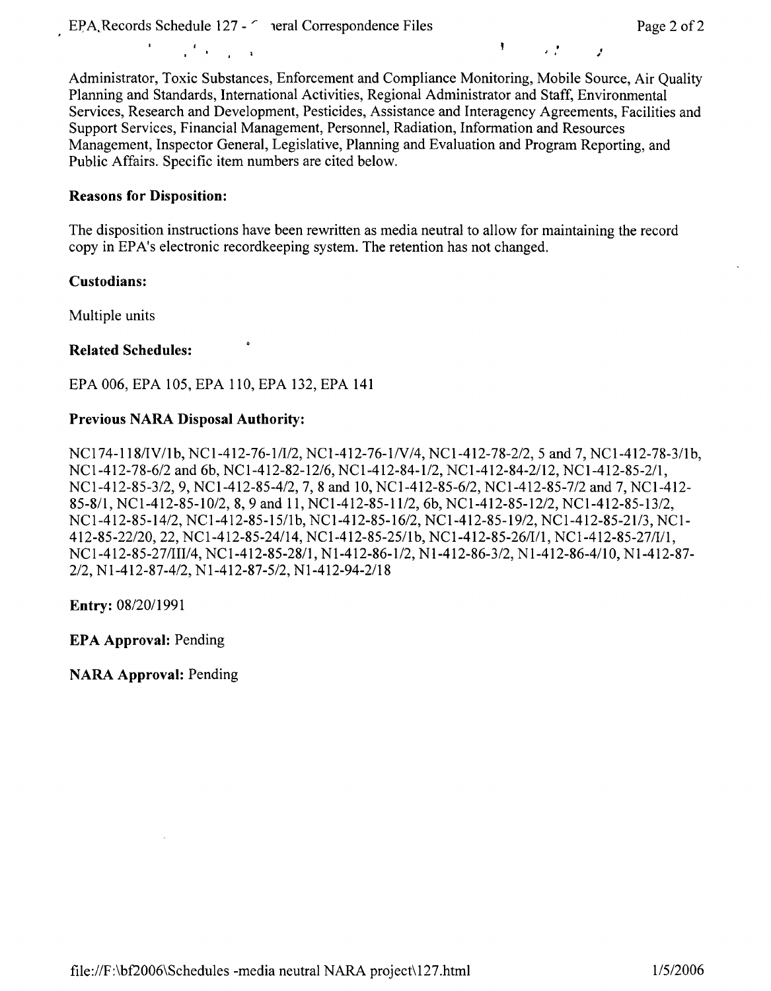$\mathcal{L}^{\text{max}}$  and  $\mathcal{L}^{\text{max}}$ 

, '' ,**<sup>f</sup>**

Administrator, Toxic Substances, Enforcement and Compliance Monitoring, Mobile Source, Air Quality Planning and Standards, International Activities, Regional Administrator and Staff, Environmental Services, Research and Development, Pesticides, Assistance and Interagency Agreements, Facilities and Support Services, Financial Management, Personnel, Radiation, Information and Resources Management, Inspector General, Legislative, Planning and Evaluation and Program Reporting, and Public Affairs. Specific item numbers are cited below.

#### **Reasons for Disposition:**

The disposition instructions have been rewritten as media neutral to allow for maintaining the record copy in EP A's electronic recordkeeping system. The retention has not changed.

#### **Custodians:**

Multiple units

#### **Related Schedules:**

EPA 006, EPA 105, EPA 110, EPA 132, EPA **141** 

#### **Previous NARA Disposal Authority:**

NCI 74-118/IV/lb, NCl-412-76-1/1/2, NCl-412-76-lN/4, NCl-412-78-2/2, 5 and 7, NCI-412-78-3/lb, NCI-412-78-6/2 and 6b, NCl-412-82-12/6, NCl-412-84-1/2, NCI-412-84-2/12, NCI-412-85-2/1, NCl-412-85-3/2, 9, NCl-412-85-4/2, 7, 8 and 10, NCI-412-85-6/2, NCI-412-85-7/2 and 7, NCI-412- 85-8/1, NCl-412-85-10/2, 8, 9 and 11, NCI-412-85-11/2, 6b, NCI-412-85-12/2, NCI-412-85-13/2, NCl-412-85-14/2, NCl-412-85-15/lb, NCI-412-85-16/2, NCl-412-85-19/2, NCI-412-85-21/3, NCl-412-85-22/20, 22, NCI-412-85-24/14, NCI-412-85-25/lb, NCl-412-85-26/1/1, NCl-412-85-27/1/1, NCl-412-85-27/111/4, NCl-412-85-28/1, Nl-412-86-1/2, Nl-412-86-3/2, Nl-412-86-4/10, Nl-412-87- 2/2, Nl-412-87-4/2, Nl-412-87-5/2, Nl-412-94-2/18

**Entry:** 08/20/1991

**EPA Approval:** Pending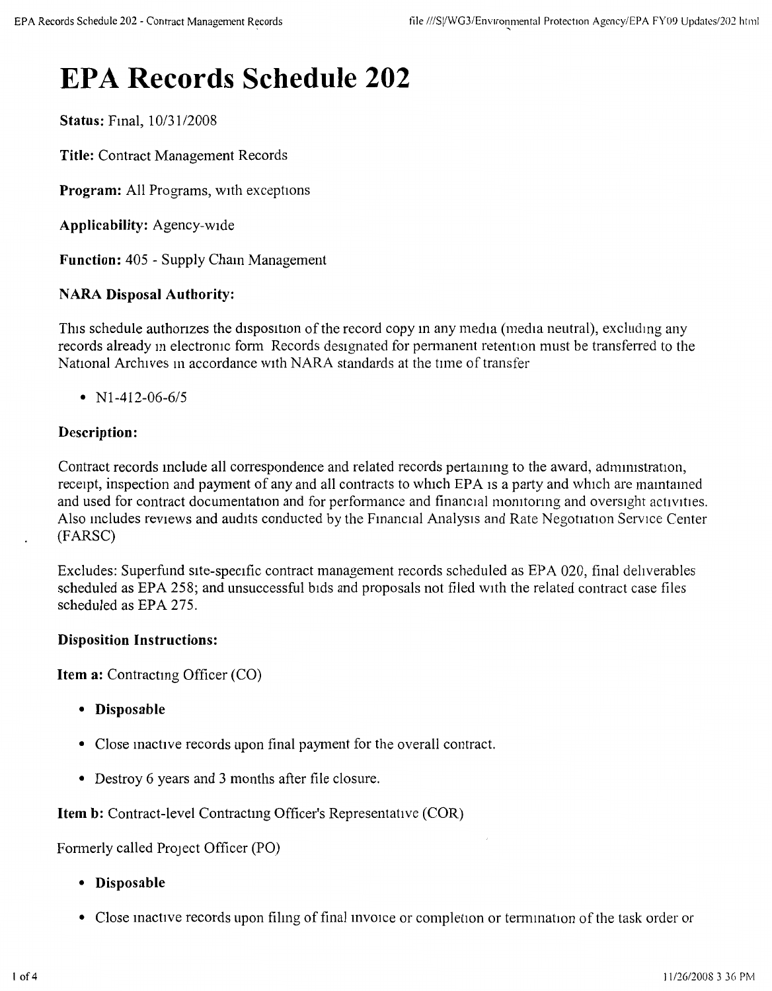# **EPA Records Schedule 202**

**Status: Final, 10/31/2008** 

**Title:** Contract Management Records

**Program:** All Programs, with exceptions

**Applicability:** Agency-wide

**Function:** 405 - Supply Cham Management

## **NARA Disposal Authority:**

This schedule authorizes the disposition of the record copy in any media (media neutral), excluding any records already in electronic form Records designated for permanent retention must be transferred to the National Archives in accordance with NARA standards at the time of transfer

•  $N1-412-06-6/5$ 

## **Description:**

Contract records include all correspondence and related records pertaining to the award, administration, receipt, inspection and payment of any and all contracts to which EPA is a party and which are maintained and used for contract documentation and for performance and financial monitoring and oversight activities. Also includes reviews and audits conducted by the Financial Analysis and Rate Negotiation Service Center (FARSC)

Excludes: Superfund site-specific contract management records scheduled as EPA 020, final deliverables scheduled as EPA 258; and unsuccessful bids and proposals not filed with the related contract case files scheduled as EPA 275.

### **Disposition Instructions:**

**Item a:** Contracting Officer (CO)

- **Disposable**
- Close inactive records upon final payment for the overall contract.
- Destroy 6 years and 3 months after file closure.

Item b: Contract-level Contracting Officer's Representative (COR)

Formerly called Project Officer (PO)

- **Disposable**
- Close mactive records upon filing of final invoice or completion or termination of the task order or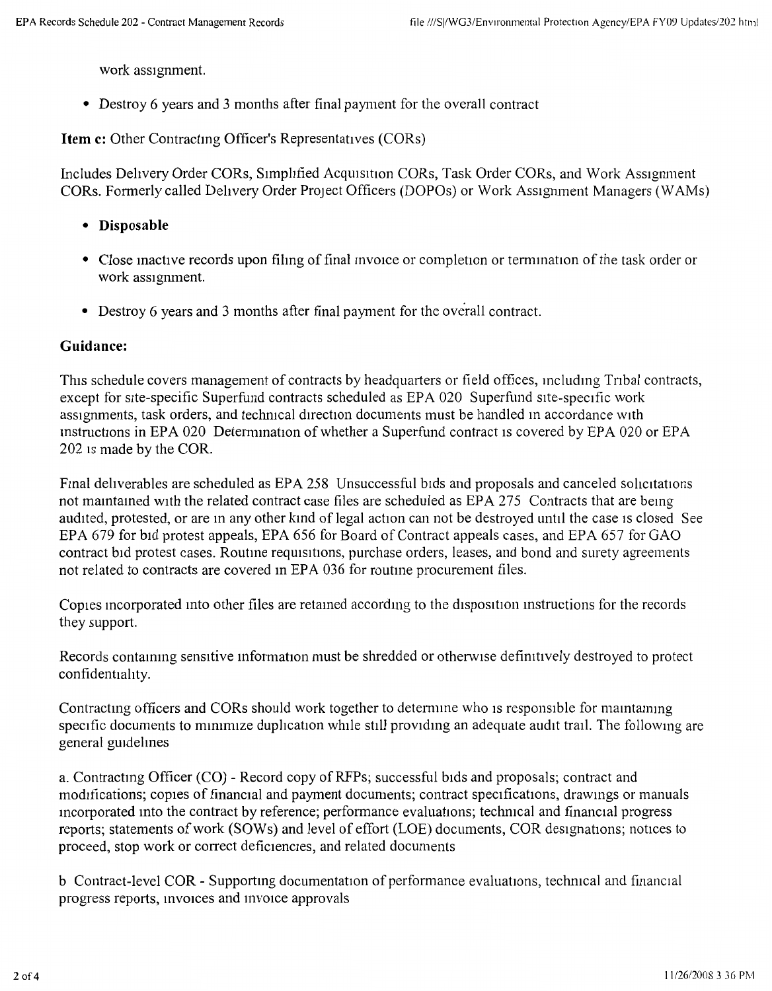work assignment.

• Destroy 6 years and 3 months after final payment for the overall contract

**Item c:** Other Contracting Officer's Representatives (CORs)

Includes Delivery Order CORs, Simplified Acquisition CORs, Task Order CORs, and Work Assignment CORs. Formerly called Delivery Order Project Officers (DOPOs) or Work Ass1gmnent Managers (W AMs)

- **Disposable**
- Close inactive records upon filing of final invoice or completion or termination of the task order or work assignment.
- Destroy 6 years and 3 months after final payment for the overall contract.

### **Guidance:**

This schedule covers management of contracts by headquarters or field offices, including Tribal contracts, except for site-specific Superfund contracts scheduled as EPA 020 Superfund site-specific work assignments, task orders, and technical direction documents must be handled in accordance with Instructions in EPA 020 Determination of whether a Superfund contract is covered by EPA 020 or EPA 202 1s made by the COR.

Final deliverables are scheduled as EPA 258 Unsuccessful bids and proposals and canceled solicitations not mamtamed with the related contract case files are scheduled as EPA 275 Contracts that are bemg audited, protested, or are in any other kind of legal action can not be destroyed until the case is closed See EPA 679 for bid protest appeals, EPA 656 for Board of Contract appeals cases, and EPA 657 for GAO contract bid protest cases. Routine requisitions, purchase orders, leases, and bond and surety agreements not related to contracts are covered in EPA 036 for routine procurement files.

Copies incorporated into other files are retained according to the disposition instructions for the records they support.

Records containing sensitive information must be shredded or otherwise definitively destroyed to protect confidentiality.

Contractmg officers and CORs should work together to detenmne who 1s responsible for mamtammg specific documents to minimize duplication while still providing an adequate audit trail. The following are general guidelines

a. Contracting Officer (CO) - Record copy of RFPs; successful bids and proposals; contract and modifications; copies of financial and payment documents; contract specifications, drawmgs or manuals mcorporated into the contract by reference; performance evaluations; technical and financial progress reports; statements of work (SOWs) and level of effort (LOE) documents, COR designations; notices to proceed, stop work or correct deficiencies, and related documents

b Contract-level COR - Supporting documentation of performance evaluations, technical and financial progress reports, invoices and invoice approvals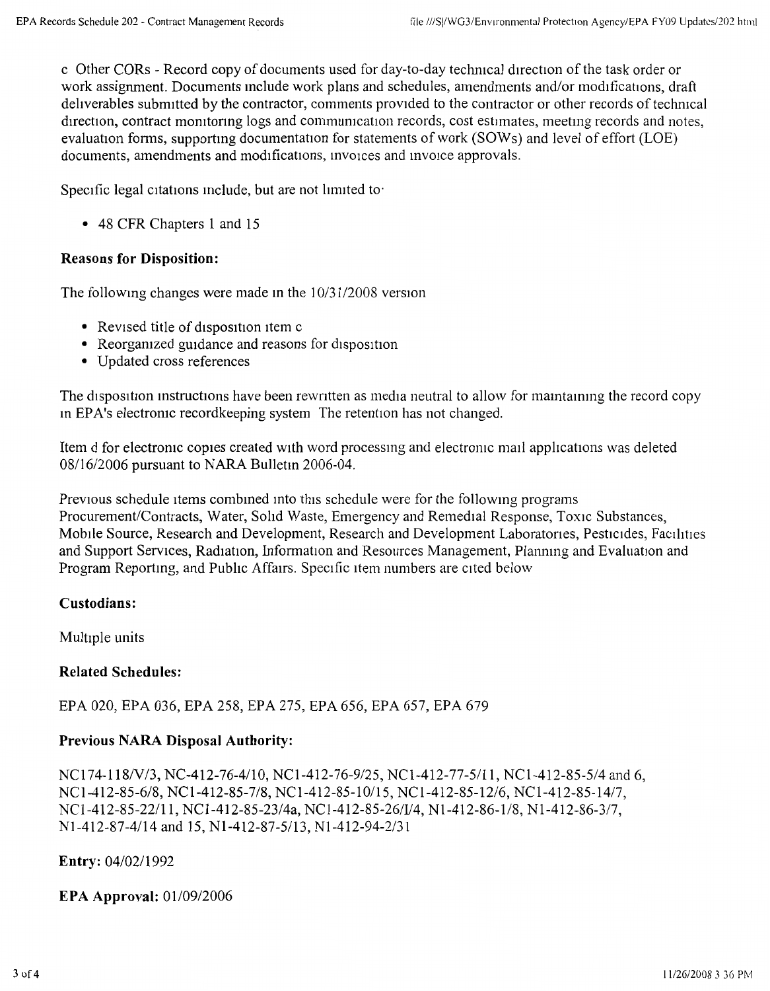c Other CORs - Record copy of documents used for day-to-day techmcal d1rection of the task order or work assignment. Documents mclude work plans and schedules, amendments and/or modifications, draft deliverables submitted by the contractor, comments provided to the contractor or other records of technical direction, contract monitoring logs and communication records, cost estimates, meeting records and notes, evaluation forms, supportmg documentation for statements of work (SOWs) and level of effort (LOE) documents, amendments and modifications, invoices and invoice approvals.

Specific legal citations include, but are not limited to

• 48 CFR Chapters 1 and 15

## **Reasons for Disposition:**

The following changes were made in the  $10/31/2008$  version

- Revised title of disposition item c
- Reorganized guidance and reasons for disposition
- Updated cross references

The disposition instructions have been rewritten as media neutral to allow for maintaining the record copy In EPA's electromc recordkeeping system The retention has not changed.

Item d for electronic copies created with word processing and electronic mail applications was deleted 08/16/2006 pursuant to NARA Bulletin 2006-04.

Previous schedule items combined into this schedule were for the following programs Procurement/Contracts, Water, Solid Waste, Emergency and Remedial Response, Toxic Substances, Mobile Source, Research and Development, Research and Development Laboratones, Pesticides, Facilities and Support Services, Radiation, Information and Resources Management, Planmng and Evaluation and Program Reporting, and Public Affairs. Specific item numbers are cited below

### **Custodians:**

Multiple units

### **Related Schedules:**

EPA 020, EPA 036, EPA 258, EPA 275, EPA 656, EPA 657, EPA 679

# **Previous NARA Disposal Authority:**

NCI 74-118/V/3, NC-412-76-4/10, NCl-412-76-9/25, NCl-412-77-5/11, NCl-412-85-5/4 and 6, NCI-412-85-6/8, NCl-412-85-7/8, NCl-412-85-10/15, NCl-412-85-12/6, NCl-412-85-14/7, NCI-412-85-22/11, NC1-412-85-23/4a, NC1-412-85-26/V4, Nl-412-86-1/8, Nl-412-86-3/7, Nl-412-87-4/14 and 15, Nl-412-87-5/13, Nl-412-94-2/31

**Entry:** 04/02/1992

**EPA Approval:** 01/09/2006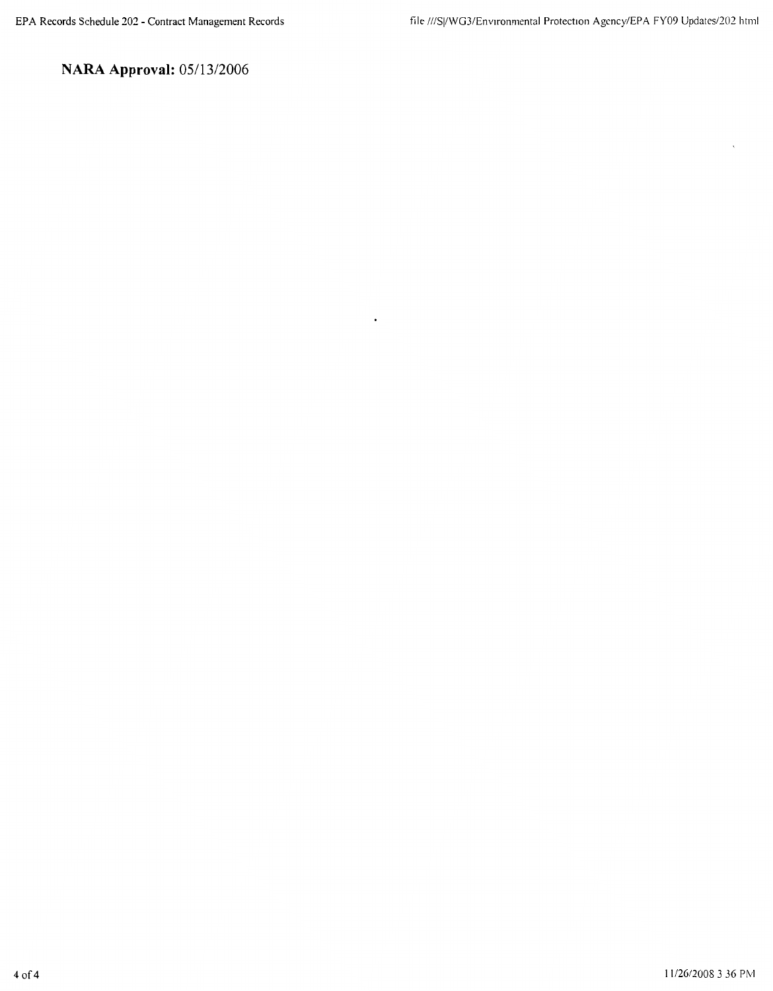$\ddot{\phantom{a}}$ 

**NARA Approval:** 05/13/2006

 $\ddot{\phantom{0}}$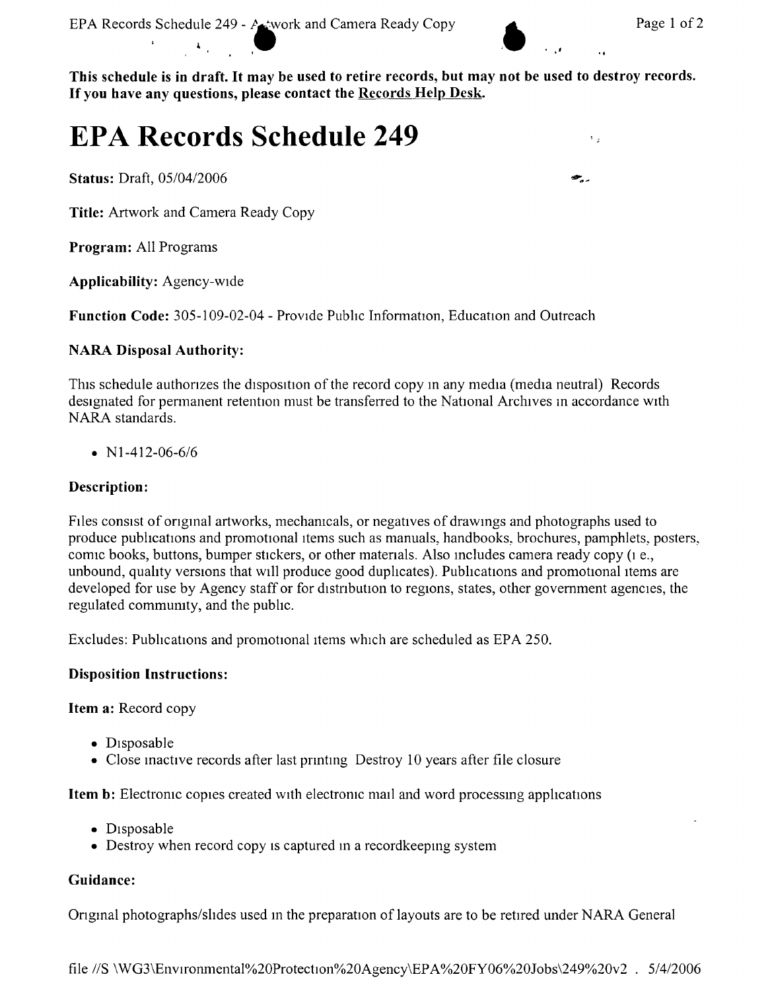$\mathbf{L}_{\mathbf{z}}$ 

●.

**This schedule is in draft. It may be used to retire records, but may not be used to destroy records.**  If you have any questions, please contact the **Records Help Desk.** 

 $\mathbf{r} = \mathbf{r} \cdot \mathbf{r}$  , where  $\mathbf{r} = \mathbf{r} \cdot \mathbf{r}$  is the set of  $\mathbf{r} = \mathbf{r} \cdot \mathbf{r}$ 

# **EPA Records Schedule 249**

**Status:** Draft, 05/04/2006

**Title:** Artwork and Camera Ready Copy

<sup>I</sup>**l** 

**Program:** All Programs

**Applicability:** Agency-wide

Function Code: 305-109-02-04 - Provide Public Information, Education and Outreach

#### **NARA Disposal Authority:**

This schedule authorizes the disposition of the record copy in any media (media neutral) Records designated for permanent retention must be transferred to the National Archives in accordance with NARA standards.

•  $N1-412-06-6/6$ 

### **Description:**

Files consist of original artworks, mechanicals, or negatives of drawings and photographs used to produce publications and promotional items such as manuals, handbooks, brochures, pamphlets, posters, comic books, buttons, bumper stickers, or other materials. Also includes camera ready copy (1 e., unbound, quality versions that will produce good duplicates). Publications and promotional items are developed for use by Agency staff or for distribution to regions, states, other government agencies, the regulated commumty, and the public.

Excludes: Publications and promotional items which are scheduled as EPA 250.

#### **Disposition Instructions:**

**Item a:** Record copy

- Disposable
- Close inactive records after last printing Destroy 10 years after file closure

**Item b:** Electronic copies created with electronic mail and word processing applications

- Disposable
- Destroy when record copy is captured in a recordkeeping system

#### **Guidance:**

Original photographs/slides used in the preparation of layouts are to be retired under NARA General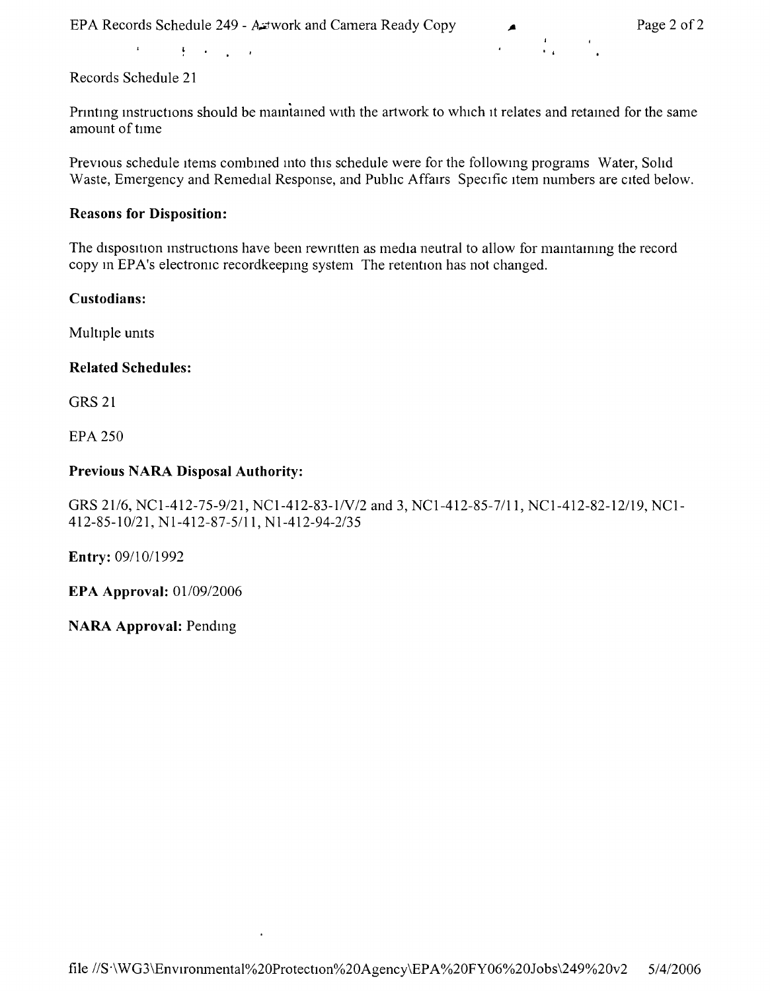$\cdot$   $\cdot$ 

 $\bar{\mathbf{r}}$  $\frac{1}{2}$  ,  $\frac{1}{2}$  ,  $\frac{1}{2}$  ,  $\frac{1}{2}$  ,  $\frac{1}{2}$  ,  $\frac{1}{2}$ 

Records Schedule 21

Printing instructions should be maintained with the artwork to which it relates and retained for the same amount of tune

Previous schedule items combined into this schedule were for the following programs Water, Solid Waste, Emergency and Remedial Response, and Pubhc Affairs Specific item numbers are cited below.

### **Reasons for Disposition:**

The disposition instructions have been rewritten as media neutral to allow for maintaining the record copy in EPA's electronic recordkeeping system The retention has not changed.

### **Custodians:**

Multiple umts

### **Related Schedules:**

GRS 21

EPA 250

### **Previous NARA Disposal Authority:**

GRS 21/6, NCl-412-75-9/21, NCl-412-83-lN/2 and 3, NCl-412-85-7/11, NCl-412-82-12/19, NCl-412-85-10/21, Nl-412-87-5/11, Nl-412-94-2/35

**Entry:** 09/10/1992

**EPA Approval:** 01/09/2006

**NARA Approval:** Pendmg

 $\cdot$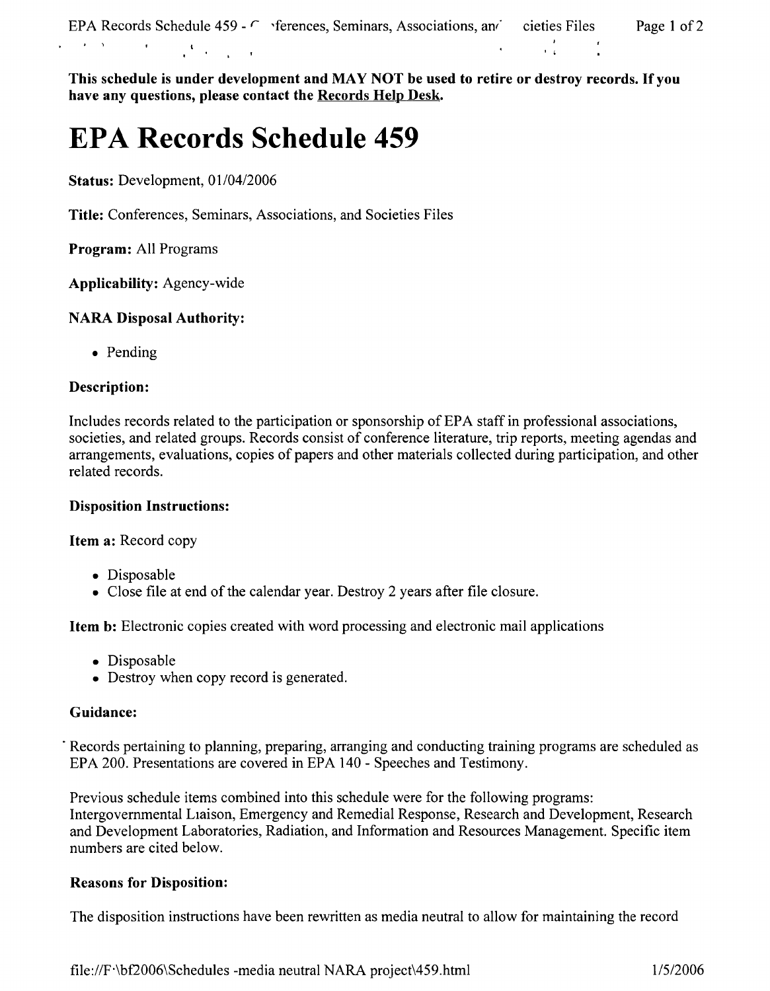**This schedule is under development and MAY NOT be used to retire or destroy records. If you have any questions, please contact the Records Help Desk.** 

# **EPA Records Schedule 459**

**Status:** Development, 01/04/2006

**Title:** Conferences, Seminars, Associations, and Societies Files

**Program:** All Programs

**Applicability:** Agency-wide

# **NARA Disposal Authority:**

• Pending

# **Description:**

Includes records related to the participation or sponsorship of EPA staff in professional associations, societies, and related groups. Records consist of conference literature, trip reports, meeting agendas and arrangements, evaluations, copies of papers and other materials collected during participation, and other related records.

# **Disposition Instructions:**

**Item a:** Record copy

- Disposable
- Close file at end of the calendar year. Destroy 2 years after file closure.

**Item b:** Electronic copies created with word processing and electronic mail applications

- Disposable
- Destroy when copy record is generated.

# **Guidance:**

Records pertaining to planning, preparing, arranging and conducting training programs are scheduled as EPA 200. Presentations are covered in EPA 140 - Speeches and Testimony.

Previous schedule items combined into this schedule were for the following programs: Intergovernmental Liaison, Emergency and Remedial Response, Research and Development, Research and Development Laboratories, Radiation, and Information and Resources Management. Specific item numbers are cited below.

# **Reasons for Disposition:**

The disposition instructions have been rewritten as media neutral to allow for maintaining the record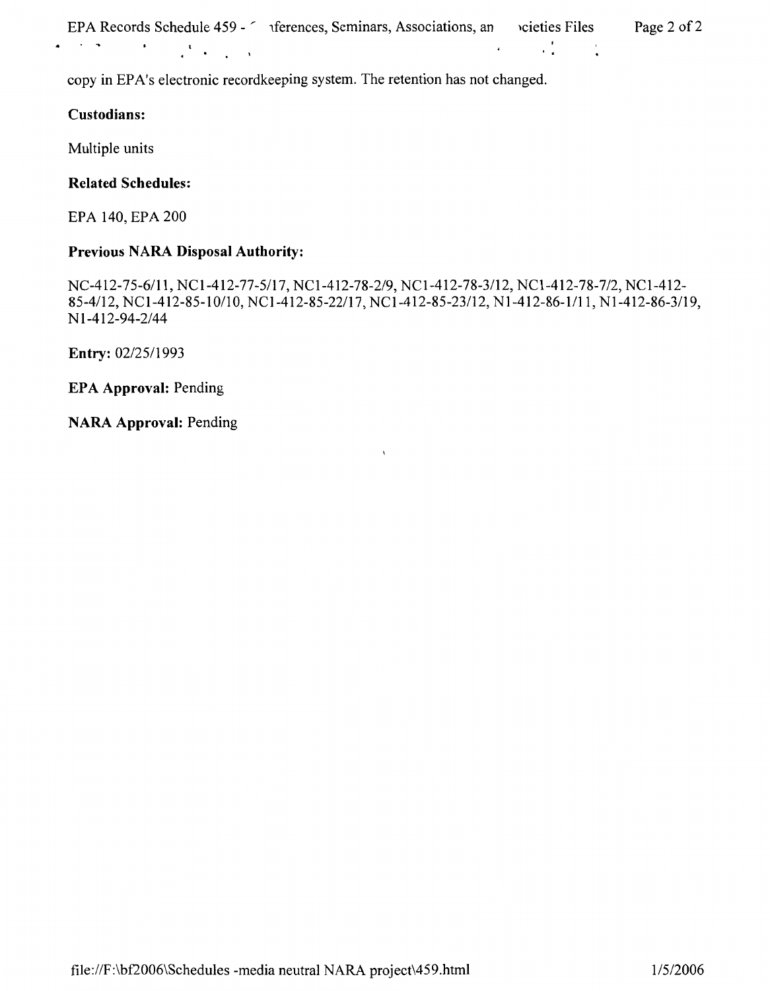| EPA Records Schedule 459 - 2 | iferences, Seminars, Associations, an | cieties Files | Page 2 of 2 |
|------------------------------|---------------------------------------|---------------|-------------|
|------------------------------|---------------------------------------|---------------|-------------|

copy in EPA's electronic recordkeeping system. The retention has not changed.

## **Custodians:**

Multiple units

## **Related Schedules:**

EPA 140, EPA 200

# **Previous NARA Disposal Authority:**

NC-412-75-6/11, NCl-412-77-5/17, NCl-412-78-2/9, NCl-412-78-3/12, NCl-412-78-7/2, NCl-412- 85-4/12, NC1-412-85-10/10, NCl-412-85-22/17, NC 1-412-85-23/12, N 1-412-86-1/11, Nl-412-86-3/19, N 1-412-94-2/44

**Entry:** 02/25/1993

**EPA Approval:** Pending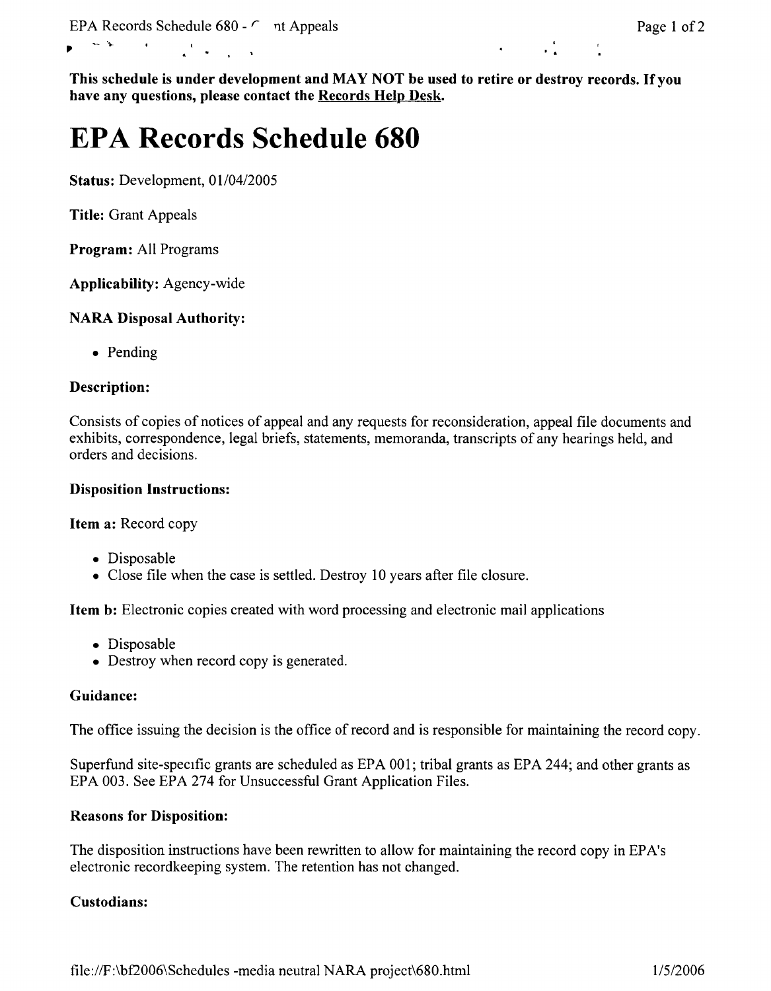# $\mathbf{P} = \frac{\sum_{i=1}^{n} (1 - \mathbf{P}_i)^2}{n!}$

**This schedule is under development and MAY NOT be used to retire or destroy records. If you have any questions, please contact the Records Help Desk.** 

# **EPA Records Schedule 680**

**Status:** Development, 01/04/2005

**Title:** Grant Appeals

**Program:** All Programs

**Applicability:** Agency-wide

## **NARA Disposal Authority:**

• Pending

## **Description:**

Consists of copies of notices of appeal and any requests for reconsideration, appeal file documents and exhibits, correspondence, legal briefs, statements, memoranda, transcripts of any hearings held, and orders and decisions.

## **Disposition Instructions:**

**Item a:** Record copy

- Disposable
- Close file when the case is settled. Destroy 10 years after file closure.

**Item b:** Electronic copies created with word processing and electronic mail applications

- Disposable
- Destroy when record copy is generated.

### **Guidance:**

The office issuing the decision is the office of record and is responsible for maintaining the record copy.

Superfund site-specific grants are scheduled as EPA 001; tribal grants as EPA 244; and other grants as EPA 003. See EPA 274 for Unsuccessful Grant Application Files.

### **Reasons for Disposition:**

The disposition instructions have been rewritten to allow for maintaining the record copy in EP A's electronic recordkeeping system. The retention has not changed.

# **Custodians:**